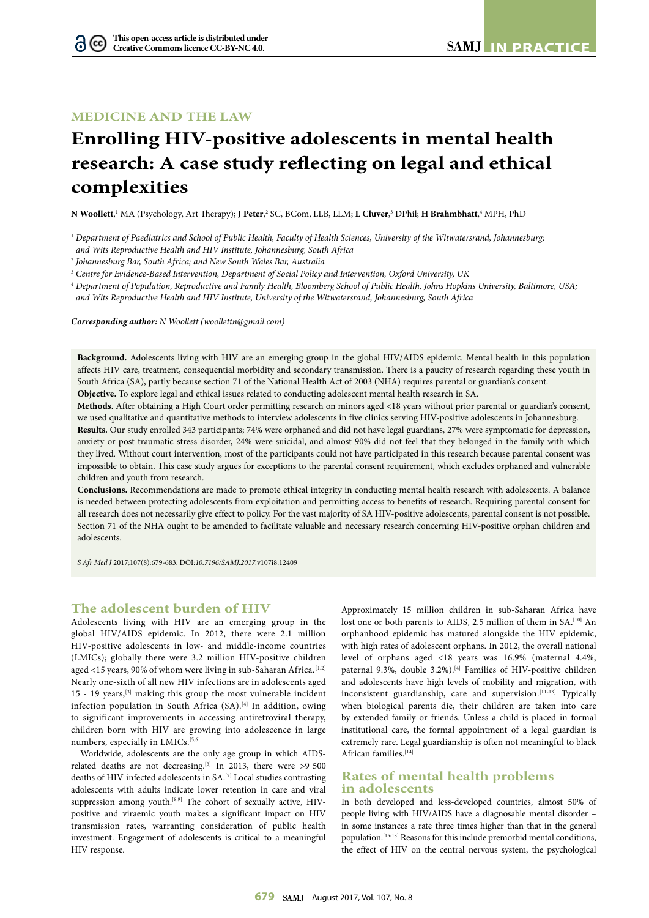# **MEDICINE AND THE LAW**

# **Enrolling HIV-positive adolescents in mental health research: A case study reflecting on legal and ethical complexities**

 $N$  Woollett,' MA (Psychology, Art Therapy); **J Peter,**? SC, BCom, LLB, LLM; **L Cluver,**3 DPhil; **H Brahmbhatt,**4 MPH, PhD

<sup>1</sup> *Department of Paediatrics and School of Public Health, Faculty of Health Sciences, University of the Witwatersrand, Johannesburg; and Wits Reproductive Health and HIV Institute, Johannesburg, South Africa*

2  *Johannesburg Bar, South Africa; and New South Wales Bar, Australia*

3  *Centre for Evidence-Based Intervention, Department of Social Policy and Intervention, Oxford University, UK*

<sup>4</sup> *Department of Population, Reproductive and Family Health, Bloomberg School of Public Health, Johns Hopkins University, Baltimore, USA; and Wits Reproductive Health and HIV Institute, University of the Witwatersrand, Johannesburg, South Africa*

*Corresponding author: N Woollett ([woollettn@gmail.com](mailto:woollettn@gmail.com))*

**Background.** Adolescents living with HIV are an emerging group in the global HIV/AIDS epidemic. Mental health in this population affects HIV care, treatment, consequential morbidity and secondary transmission. There is a paucity of research regarding these youth in South Africa (SA), partly because section 71 of the National Health Act of 2003 (NHA) requires parental or guardian's consent. **Objective.** To explore legal and ethical issues related to conducting adolescent mental health research in SA.

**Methods.** After obtaining a High Court order permitting research on minors aged <18 years without prior parental or guardian's consent,

we used qualitative and quantitative methods to interview adolescents in five clinics serving HIV-positive adolescents in Johannesburg. **Results.** Our study enrolled 343 participants; 74% were orphaned and did not have legal guardians, 27% were symptomatic for depression, anxiety or post-traumatic stress disorder, 24% were suicidal, and almost 90% did not feel that they belonged in the family with which they lived. Without court intervention, most of the participants could not have participated in this research because parental consent was impossible to obtain. This case study argues for exceptions to the parental consent requirement, which excludes orphaned and vulnerable children and youth from research.

**Conclusions.** Recommendations are made to promote ethical integrity in conducting mental health research with adolescents. A balance is needed between protecting adolescents from exploitation and permitting access to benefits of research. Requiring parental consent for all research does not necessarily give effect to policy. For the vast majority of SA HIV-positive adolescents, parental consent is not possible. Section 71 of the NHA ought to be amended to facilitate valuable and necessary research concerning HIV-positive orphan children and adolescents.

*S Afr Med J* 2017;107(8):679-683. DOI:*<10.7196/SAMJ>.2017.*v107i8.12409

#### **The adolescent burden of HIV**

Adolescents living with HIV are an emerging group in the global HIV/AIDS epidemic. In 2012, there were 2.1 million HIV-positive adolescents in low- and middle-income countries (LMICs); globally there were 3.2 million HIV-positive children aged <15 years, 90% of whom were living in sub-Saharan Africa.<sup>[1,2]</sup> Nearly one-sixth of all new HIV infections are in adolescents aged 15 - 19 years,[3] making this group the most vulnerable incident infection population in South Africa (SA).<sup>[4]</sup> In addition, owing to significant improvements in accessing antiretroviral therapy, children born with HIV are growing into adolescence in large numbers, especially in LMICs.<sup>[5,6]</sup>

Worldwide, adolescents are the only age group in which AIDSrelated deaths are not decreasing.<sup>[3]</sup> In 2013, there were >9 500 deaths of HIV-infected adolescents in SA.[7] Local studies contrasting adolescents with adults indicate lower retention in care and viral suppression among youth.<sup>[8,9]</sup> The cohort of sexually active, HIVpositive and viraemic youth makes a significant impact on HIV transmission rates, warranting consideration of public health investment. Engagement of adolescents is critical to a meaningful HIV response.

Approximately 15 million children in sub-Saharan Africa have lost one or both parents to AIDS, 2.5 million of them in SA.<sup>[10]</sup> An orphanhood epidemic has matured alongside the HIV epidemic, with high rates of adolescent orphans. In 2012, the overall national level of orphans aged <18 years was 16.9% (maternal 4.4%, paternal 9.3%, double 3.2%).<sup>[4]</sup> Families of HIV-positive children and adolescents have high levels of mobility and migration, with inconsistent guardianship, care and supervision.<sup>[11-13]</sup> Typically when biological parents die, their children are taken into care by extended family or friends. Unless a child is placed in formal institutional care, the formal appointment of a legal guardian is extremely rare. Legal guardianship is often not meaningful to black African families.<sup>[14]</sup>

### **Rates of mental health problems in adolescents**

In both developed and less-developed countries, almost 50% of people living with HIV/AIDS have a diagnosable mental disorder – in some instances a rate three times higher than that in the general population.[15-18] Reasons for this include premorbid mental conditions, the effect of HIV on the central nervous system, the psychological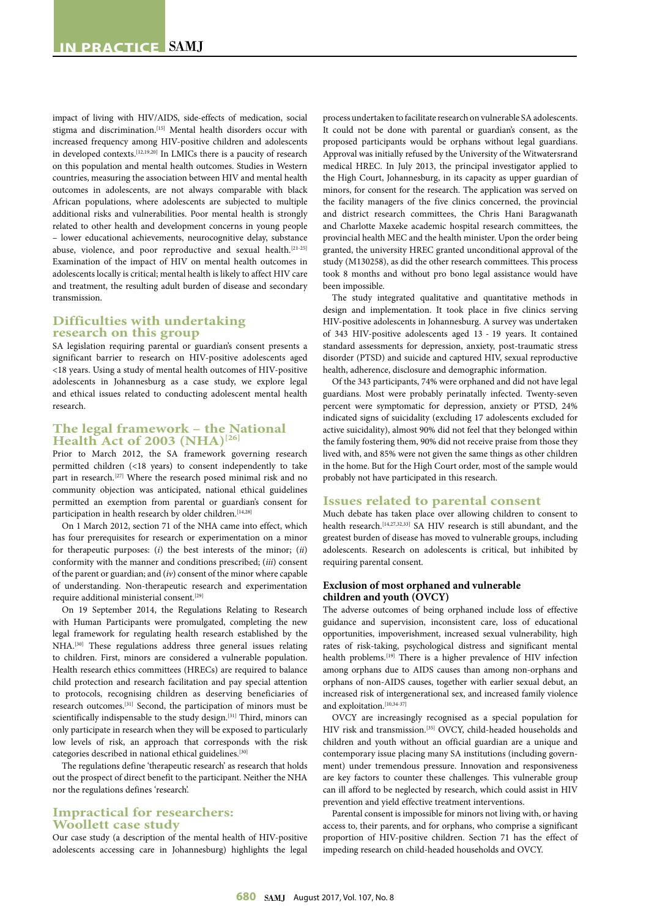impact of living with HIV/AIDS, side-effects of medication, social stigma and discrimination.<sup>[15]</sup> Mental health disorders occur with increased frequency among HIV-positive children and adolescents in developed contexts.[12,19,20] In LMICs there is a paucity of research on this population and mental health outcomes. Studies in Western countries, measuring the association between HIV and mental health outcomes in adolescents, are not always comparable with black African populations, where adolescents are subjected to multiple additional risks and vulnerabilities. Poor mental health is strongly related to other health and development concerns in young people – lower educational achievements, neurocognitive delay, substance abuse, violence, and poor reproductive and sexual health.<sup>[21-25]</sup> Examination of the impact of HIV on mental health outcomes in adolescents locally is critical; mental health is likely to affect HIV care and treatment, the resulting adult burden of disease and secondary transmission.

# **Difficulties with undertaking research on this group**

SA legislation requiring parental or guardian's consent presents a significant barrier to research on HIV-positive adolescents aged <18 years. Using a study of mental health outcomes of HIV-positive adolescents in Johannesburg as a case study, we explore legal and ethical issues related to conducting adolescent mental health research.

### **The legal framework – the National**  Health Act of 2003 (NHA)<sup>[26]</sup>

Prior to March 2012, the SA framework governing research permitted children (<18 years) to consent independently to take part in research.[27] Where the research posed minimal risk and no community objection was anticipated, national ethical guidelines permitted an exemption from parental or guardian's consent for participation in health research by older children.<sup>[14,28]</sup>

On 1 March 2012, section 71 of the NHA came into effect, which has four prerequisites for research or experimentation on a minor for therapeutic purposes: (*i*) the best interests of the minor; (*ii*) conformity with the manner and conditions prescribed; (*iii*) consent of the parent or guardian; and (*iv*) consent of the minor where capable of understanding. Non-therapeutic research and experimentation require additional ministerial consent.<sup>[29]</sup>

On 19 September 2014, the Regulations Relating to Research with Human Participants were promulgated, completing the new legal framework for regulating health research established by the NHA.<sup>[30]</sup> These regulations address three general issues relating to children. First, minors are considered a vulnerable population. Health research ethics committees (HRECs) are required to balance child protection and research facilitation and pay special attention to protocols, recognising children as deserving beneficiaries of research outcomes.[31] Second, the participation of minors must be scientifically indispensable to the study design.<sup>[31]</sup> Third, minors can only participate in research when they will be exposed to particularly low levels of risk, an approach that corresponds with the risk categories described in national ethical guidelines.<sup>[30]</sup>

The regulations define 'therapeutic research' as research that holds out the prospect of direct benefit to the participant. Neither the NHA nor the regulations defines 'research'.

#### **Impractical for researchers: Woollett case study**

Our case study (a description of the mental health of HIV-positive adolescents accessing care in Johannesburg) highlights the legal

process undertaken to facilitate research on vulnerable SA adolescents. It could not be done with parental or guardian's consent, as the proposed participants would be orphans without legal guardians. Approval was initially refused by the University of the Witwatersrand medical HREC. In July 2013, the principal investigator applied to the High Court, Johannesburg, in its capacity as upper guardian of minors, for consent for the research. The application was served on the facility managers of the five clinics concerned, the provincial and district research committees, the Chris Hani Baragwanath and Charlotte Maxeke academic hospital research committees, the provincial health MEC and the health minister. Upon the order being granted, the university HREC granted unconditional approval of the study (M130258), as did the other research committees. This process took 8 months and without pro bono legal assistance would have been impossible.

The study integrated qualitative and quantitative methods in design and implementation. It took place in five clinics serving HIV-positive adolescents in Johannesburg. A survey was undertaken of 343 HIV-positive adolescents aged 13 - 19 years. It contained standard assessments for depression, anxiety, post-traumatic stress disorder (PTSD) and suicide and captured HIV, sexual reproductive health, adherence, disclosure and demographic information.

Of the 343 participants, 74% were orphaned and did not have legal guardians. Most were probably perinatally infected. Twenty-seven percent were symptomatic for depression, anxiety or PTSD, 24% indicated signs of suicidality (excluding 17 adolescents excluded for active suicidality), almost 90% did not feel that they belonged within the family fostering them, 90% did not receive praise from those they lived with, and 85% were not given the same things as other children in the home. But for the High Court order, most of the sample would probably not have participated in this research.

#### **Issues related to parental consent**

Much debate has taken place over allowing children to consent to health research.<sup>[14,27,32,33]</sup> SA HIV research is still abundant, and the greatest burden of disease has moved to vulnerable groups, including adolescents. Research on adolescents is critical, but inhibited by requiring parental consent.

#### **Exclusion of most orphaned and vulnerable children and youth (OVCY)**

The adverse outcomes of being orphaned include loss of effective guidance and supervision, inconsistent care, loss of educational opportunities, impoverishment, increased sexual vulnerability, high rates of risk-taking, psychological distress and significant mental health problems.<sup>[19]</sup> There is a higher prevalence of HIV infection among orphans due to AIDS causes than among non-orphans and orphans of non-AIDS causes, together with earlier sexual debut, an increased risk of intergenerational sex, and increased family violence and exploitation.  $^{\left[10,34\text{--}37\right]}$ 

OVCY are increasingly recognised as a special population for HIV risk and transmission.<sup>[35]</sup> OVCY, child-headed households and children and youth without an official guardian are a unique and contemporary issue placing many SA institutions (including government) under tremendous pressure. Innovation and responsiveness are key factors to counter these challenges. This vulnerable group can ill afford to be neglected by research, which could assist in HIV prevention and yield effective treatment interventions.

Parental consent is impossible for minors not living with, or having access to, their parents, and for orphans, who comprise a significant proportion of HIV-positive children. Section 71 has the effect of impeding research on child-headed households and OVCY.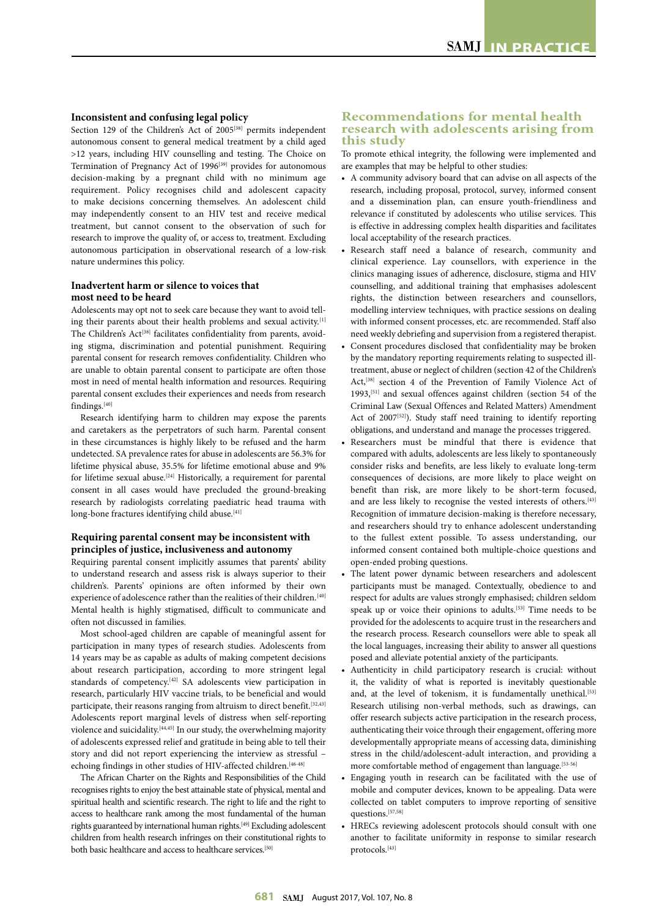#### **Inconsistent and confusing legal policy**

Section 129 of the Children's Act of 2005<sup>[38]</sup> permits independent autonomous consent to general medical treatment by a child aged >12 years, including HIV counselling and testing. The Choice on Termination of Pregnancy Act of 1996<sup>[39]</sup> provides for autonomous decision-making by a pregnant child with no minimum age requirement. Policy recognises child and adolescent capacity to make decisions concerning themselves. An adolescent child may independently consent to an HIV test and receive medical treatment, but cannot consent to the observation of such for research to improve the quality of, or access to, treatment. Excluding autonomous participation in observational research of a low-risk nature undermines this policy.

#### **Inadvertent harm or silence to voices that most need to be heard**

Adolescents may opt not to seek care because they want to avoid telling their parents about their health problems and sexual activity.<sup>[1]</sup> The Children's Act<sup>[38]</sup> facilitates confidentiality from parents, avoiding stigma, discrimination and potential punishment. Requiring parental consent for research removes confidentiality. Children who are unable to obtain parental consent to participate are often those most in need of mental health information and resources. Requiring parental consent excludes their experiences and needs from research findings.[40]

Research identifying harm to children may expose the parents and caretakers as the perpetrators of such harm. Parental consent in these circumstances is highly likely to be refused and the harm undetected. SA prevalence rates for abuse in adolescents are 56.3% for lifetime physical abuse, 35.5% for lifetime emotional abuse and 9% for lifetime sexual abuse.<sup>[24]</sup> Historically, a requirement for parental consent in all cases would have precluded the ground-breaking research by radiologists correlating paediatric head trauma with long-bone fractures identifying child abuse.<sup>[41]</sup>

#### **Requiring parental consent may be inconsistent with principles of justice, inclusiveness and autonomy**

Requiring parental consent implicitly assumes that parents' ability to understand research and assess risk is always superior to their children's. Parents' opinions are often informed by their own experience of adolescence rather than the realities of their children.<sup>[40]</sup> Mental health is highly stigmatised, difficult to communicate and often not discussed in families.

Most school-aged children are capable of meaningful assent for participation in many types of research studies. Adolescents from 14 years may be as capable as adults of making competent decisions about research participation, according to more stringent legal standards of competency.<sup>[42]</sup> SA adolescents view participation in research, particularly HIV vaccine trials, to be beneficial and would participate, their reasons ranging from altruism to direct benefit.<sup>[32,43]</sup> Adolescents report marginal levels of distress when self-reporting violence and suicidality.[44,45] In our study, the overwhelming majority of adolescents expressed relief and gratitude in being able to tell their story and did not report experiencing the interview as stressful – echoing findings in other studies of HIV-affected children.<sup>[46-48]</sup>

The African Charter on the Rights and Responsibilities of the Child recognises rights to enjoy the best attainable state of physical, mental and spiritual health and scientific research. The right to life and the right to access to healthcare rank among the most fundamental of the human rights guaranteed by international human rights.<sup>[49]</sup> Excluding adolescent children from health research infringes on their constitutional rights to both basic healthcare and access to healthcare services.[50]

#### **Recommendations for mental health research with adolescents arising from this study**

To promote ethical integrity, the following were implemented and are examples that may be helpful to other studies:

- A community advisory board that can advise on all aspects of the research, including proposal, protocol, survey, informed consent and a dissemination plan, can ensure youth-friendliness and relevance if constituted by adolescents who utilise services. This is effective in addressing complex health disparities and facilitates local acceptability of the research practices.
- Research staff need a balance of research, community and clinical experience. Lay counsellors, with experience in the clinics managing issues of adherence, disclosure, stigma and HIV counselling, and additional training that emphasises adolescent rights, the distinction between researchers and counsellors, modelling interview techniques, with practice sessions on dealing with informed consent processes, etc. are recommended. Staff also need weekly debriefing and supervision from a registered therapist.
- Consent procedures disclosed that confidentiality may be broken by the mandatory reporting requirements relating to suspected illtreatment, abuse or neglect of children (section 42 of the Children's Act,<sup>[38]</sup> section 4 of the Prevention of Family Violence Act of 1993,[51] and sexual offences against children (section 54 of the Criminal Law (Sexual Offences and Related Matters) Amendment Act of  $2007^{52}$ ). Study staff need training to identify reporting obligations, and understand and manage the processes triggered.
- Researchers must be mindful that there is evidence that compared with adults, adolescents are less likely to spontaneously consider risks and benefits, are less likely to evaluate long-term consequences of decisions, are more likely to place weight on benefit than risk, are more likely to be short-term focused, and are less likely to recognise the vested interests of others.<sup>[43]</sup> Recognition of immature decision-making is therefore necessary, and researchers should try to enhance adolescent understanding to the fullest extent possible. To assess understanding, our informed consent contained both multiple-choice questions and open-ended probing questions.
- The latent power dynamic between researchers and adolescent participants must be managed. Contextually, obedience to and respect for adults are values strongly emphasised; children seldom speak up or voice their opinions to adults.<sup>[53]</sup> Time needs to be provided for the adolescents to acquire trust in the researchers and the research process. Research counsellors were able to speak all the local languages, increasing their ability to answer all questions posed and alleviate potential anxiety of the participants.
- Authenticity in child participatory research is crucial: without it, the validity of what is reported is inevitably questionable and, at the level of tokenism, it is fundamentally unethical.<sup>[53]</sup> Research utilising non-verbal methods, such as drawings, can offer research subjects active participation in the research process, authenticating their voice through their engagement, offering more developmentally appropriate means of accessing data, diminishing stress in the child/adolescent-adult interaction, and providing a more comfortable method of engagement than language.<sup>[53-56]</sup>
- Engaging youth in research can be facilitated with the use of mobile and computer devices, known to be appealing. Data were collected on tablet computers to improve reporting of sensitive questions.[57,58]
- HRECs reviewing adolescent protocols should consult with one another to facilitate uniformity in response to similar research protocols.[43]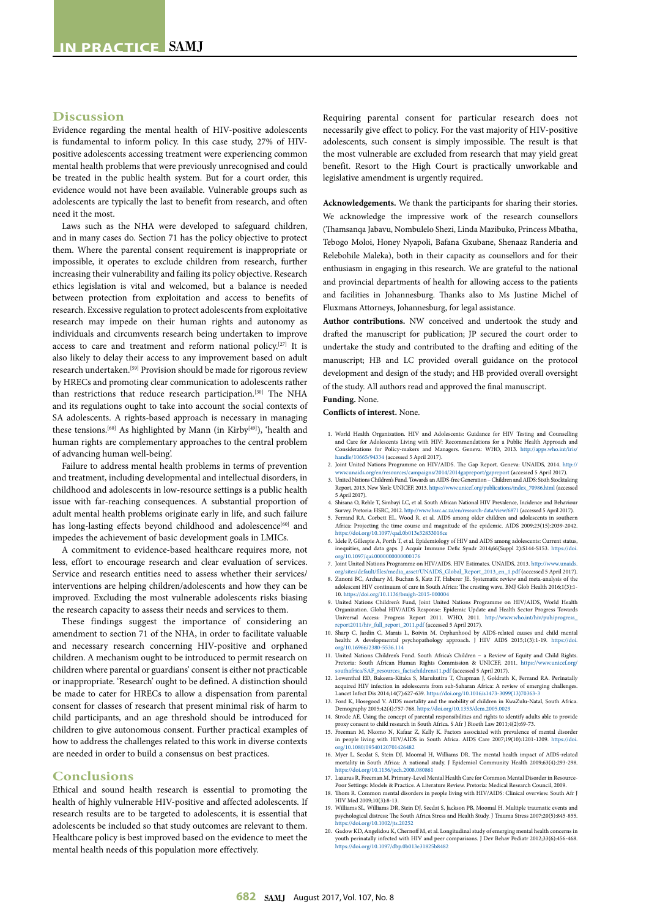#### **Discussion**

Evidence regarding the mental health of HIV-positive adolescents is fundamental to inform policy. In this case study, 27% of HIVpositive adolescents accessing treatment were experiencing common mental health problems that were previously unrecognised and could be treated in the public health system. But for a court order, this evidence would not have been available. Vulnerable groups such as adolescents are typically the last to benefit from research, and often need it the most.

Laws such as the NHA were developed to safeguard children, and in many cases do. Section 71 has the policy objective to protect them. Where the parental consent requirement is inappropriate or impossible, it operates to exclude children from research, further increasing their vulnerability and failing its policy objective. Research ethics legislation is vital and welcomed, but a balance is needed between protection from exploitation and access to benefits of research. Excessive regulation to protect adolescents from exploitative research may impede on their human rights and autonomy as individuals and circumvents research being undertaken to improve access to care and treatment and reform national policy.[27] It is also likely to delay their access to any improvement based on adult research undertaken.[59] Provision should be made for rigorous review by HRECs and promoting clear communication to adolescents rather than restrictions that reduce research participation.[30] The NHA and its regulations ought to take into account the social contexts of SA adolescents. A rights-based approach is necessary in managing these tensions.<sup>[60]</sup> As highlighted by Mann (in Kirby<sup>[49]</sup>), 'health and human rights are complementary approaches to the central problem of advancing human well-being'.

Failure to address mental health problems in terms of prevention and treatment, including developmental and intellectual disorders, in childhood and adolescents in low-resource settings is a public health issue with far-reaching consequences. A substantial proportion of adult mental health problems originate early in life, and such failure has long-lasting effects beyond childhood and adolescence<sup>[60]</sup> and impedes the achievement of basic development goals in LMICs.

A commitment to evidence-based healthcare requires more, not less, effort to encourage research and clear evaluation of services. Service and research entities need to assess whether their services/ interventions are helping children/adolescents and how they can be improved. Excluding the most vulnerable adolescents risks biasing the research capacity to assess their needs and services to them.

These findings suggest the importance of considering an amendment to section 71 of the NHA, in order to facilitate valuable and necessary research concerning HIV-positive and orphaned children. A mechanism ought to be introduced to permit research on children where parental or guardians' consent is either not practicable or inappropriate. 'Research' ought to be defined. A distinction should be made to cater for HRECs to allow a dispensation from parental consent for classes of research that present minimal risk of harm to child participants, and an age threshold should be introduced for children to give autonomous consent. Further practical examples of how to address the challenges related to this work in diverse contexts are needed in order to build a consensus on best practices.

#### **Conclusions**

Ethical and sound health research is essential to promoting the health of highly vulnerable HIV-positive and affected adolescents. If research results are to be targeted to adolescents, it is essential that adolescents be included so that study outcomes are relevant to them. Healthcare policy is best improved based on the evidence to meet the mental health needs of this population more effectively.

Requiring parental consent for particular research does not necessarily give effect to policy. For the vast majority of HIV-positive adolescents, such consent is simply impossible. The result is that the most vulnerable are excluded from research that may yield great benefit. Resort to the High Court is practically unworkable and legislative amendment is urgently required.

**Acknowledgements.** We thank the participants for sharing their stories. We acknowledge the impressive work of the research counsellors (Thamsanqa Jabavu, Nombulelo Shezi, Linda Mazibuko, Princess Mbatha, Tebogo Moloi, Honey Nyapoli, Bafana Gxubane, Shenaaz Randeria and Relebohile Maleka), both in their capacity as counsellors and for their enthusiasm in engaging in this research. We are grateful to the national and provincial departments of health for allowing access to the patients and facilities in Johannesburg. Thanks also to Ms Justine Michel of Fluxmans Attorneys, Johannesburg, for legal assistance.

**Author contributions.** NW conceived and undertook the study and drafted the manuscript for publication; JP secured the court order to undertake the study and contributed to the drafting and editing of the manuscript; HB and LC provided overall guidance on the protocol development and design of the study; and HB provided overall oversight of the study. All authors read and approved the final manuscript.

# **Funding.** None.

**Conflicts of interest.** None.

- 1. World Health Organization. HIV and Adolescents: Guidance for HIV Testing and Counselling and Care for Adolescents Living with HIV: Recommendations for a Public Health Approach and Considerations for Policy-makers and Managers. Geneva: WHO, 2013. [http://apps.who.int/iris/](http://apps.who.int/iris/handle/10665/94334) [handle/10665/94334](http://apps.who.int/iris/handle/10665/94334) (accessed 5 April 2017).
- 2. Joint United Nations Programme on HIV/AIDS. The Gap Report. Geneva: UNAIDS, 2014. [http://](http://www.unaids.org/en/resources/campaigns/2014/2014gapreport/gapreport) [www.unaids.org/en/resources/campaigns/2014/2014gapreport/gapreport](http://www.unaids.org/en/resources/campaigns/2014/2014gapreport/gapreport) (accessed 5 April 2017).
- 3. United Nations Children's Fund. Towards an AIDS-free Generation Children and AIDS: Sixth Stocktaking Report, 2013. New York: UNICEF, 2013. [https://www.unicef.org/publications/index\\_70986.html](https://www.unicef.org/publications/index_70986.html) (accessed 5 April 2017).
- 4. Shisana O, Rehle T, Simbayi LC, et al. South African National HIV Prevalence, Incidence and Behaviour
- Survey. Pretoria: HSRC, 2012.<http://www.hsrc.ac.za/en/research-data/view/6871> (accessed 5 April 2017). 5. Ferrand RA, Corbett EL, Wood R, et al. AIDS among older children and adolescents in southern Africa: Projecting the time course and magnitude of the epidemic. AIDS 2009;23(15):2039-2042. s://doi.org/10.1097/qad.0b013e32833016ce
- 6. Idele P, Gillespie A, Porth T, et al. Epidemiology of HIV and AIDS among adolescents: Current status, inequities, and data gaps. J Acquir Immune Defic Syndr 2014;66(Suppl 2):S144-S153. [https://doi.](https://doi.org/10.1097/qai.0000000000000176) [org/10.1097/qai.0000000000000176](https://doi.org/10.1097/qai.0000000000000176)
- 7. Joint United Nations Programme on HIV/AIDS. HIV Estimates. UNAIDS, 2013. [http://www.unaids.](http://www.unaids.org/sites/default/files/media_asset/UNAIDS_Global_Report_2013_en_1.pdf)
- [org/sites/default/files/media\\_asset/UNAIDS\\_Global\\_Report\\_2013\\_en\\_1.pdf](http://www.unaids.org/sites/default/files/media_asset/UNAIDS_Global_Report_2013_en_1.pdf) (accessed 5 April 2017). 8. Zanoni BC, Archary M, Buchan S, Katz IT, Haberer JE. Systematic review and meta-analysis of the adolescent HIV continuum of care in South Africa: The cresting wave. BMJ Glob Health 2016;1(3):1- 10. [https://doi.org/10.1136/bmjgh-](https://doi.org/10.1136/bmjgh)2015-000004
- 9. United Nations Children's Fund, Joint United Nations Programme on HIV/AIDS, World Health Organization. Global HIV/AIDS Response: Epidemic Update and Health Sector Progress Towards Universal Access: Progress Report 2011. WHO, 2011. [http://www.who.int/hiv/pub/progress\\_](http://www.who.int/hiv/pub/progress_report2011/hiv_full_report_2011.pdf) [report2011/hiv\\_full\\_report\\_2011.pdf](http://www.who.int/hiv/pub/progress_report2011/hiv_full_report_2011.pdf) (accessed 5 April 2017).
- 10. Sharp C, Jardin C, Marais L, Boivin M. Orphanhood by AIDS-related causes and child mental health: A developmental psychopathology approach. J HIV AIDS 2015;1(3):1-19. [https://doi.](https://doi.org/10.16966/2380-5536.114) [org/10.16966/2380-5536.114](https://doi.org/10.16966/2380-5536.114)
- 11. United Nations Children's Fund. South Africa's Children a Review of Equity and Child Rights. Pretoria: South African Human Rights Commission & UNICEF, 2011. [https://www.unicef.org/](https://www.unicef.org/southafrica/SAF_resources_factschildrens11.pdf) [southafrica/SAF\\_resources\\_factschildrens11.pdf](https://www.unicef.org/southafrica/SAF_resources_factschildrens11.pdf) (accessed 5 April 2017).
- 12. Lowenthal ED, Bakeera-Kitaka S, Marukutira T, Chapman J, Goldrath K, Ferrand RA. Perinatally acquired HIV infection in adolescents from sub-Saharan Africa: A review of emerging challenges.
- Lancet Infect Dis 2014;14(7):627-639. [https://doi.org/10.1016/s1473](https://doi.org/10.1016/s1473-3099(13)70363-3)-3099(13)70363-3 13. Ford K, Hosegood V. AIDS mortality and the mobility of children in KwaZulu-Natal, South Africa.
- Demography 2005;42(4):757-768. <https://doi.org/10.1353/dem.2005.0029> 14. Strode AE. Using the concept of parental responsibilities and rights to identify adults able to provide proxy consent to child research in South Africa. S Afr J Bioeth Law 2011;4(2):69-73.
- 15. Freeman M, Nkomo N, Kafaar Z, Kelly K. Factors associated with prevalence of mental disorder in people living with HIV/AIDS in South Africa. AIDS Care 2007;19(10):1201-1209. [https://doi.](https://doi.org/10.1080/09540120701426482) [org/10.1080/09540120701426482](https://doi.org/10.1080/09540120701426482)
- 16. Myer L, Seedat S, Stein DJ, Moomal H, Williams DR. The mental health impact of AIDS-related mortality in South Africa: A national study. J Epidemiol Community Health 2009;63(4):293-298. <https://doi.org/10.1136/jech.2008.080861>
- 17. Lazarus R, Freeman M. Primary-Level Mental Health Care for Common Mental Disorder in Resource-Poor Settings: Models & Practice. A Literature Review. Pretoria: Medical Research Council, 2009.
- 18. Thom R. Common mental disorders in people living with HIV/AIDS: Clinical overview. South Afr J
- HIV Med 2009;10(3):8-13. 19. Williams SL, Williams DR, Stein DJ, Seedat S, Jackson PB, Moomal H. Multiple traumatic events and psychological distress: The South Africa Stress and Health Study. J Trauma Stress 2007;20(5):845-855. <https://doi.org/10.1002/jts.20252>
- 20. Gadow KD, Angelidou K, Chernoff M, et al. Longitudinal study of emerging mental health concerns in youth perinatally infected with HIV and peer comparisons. J Dev Behav Pediatr 2012;33(6):456-468. <https://doi.org/10.1097/dbp.0b013e31825b8482>